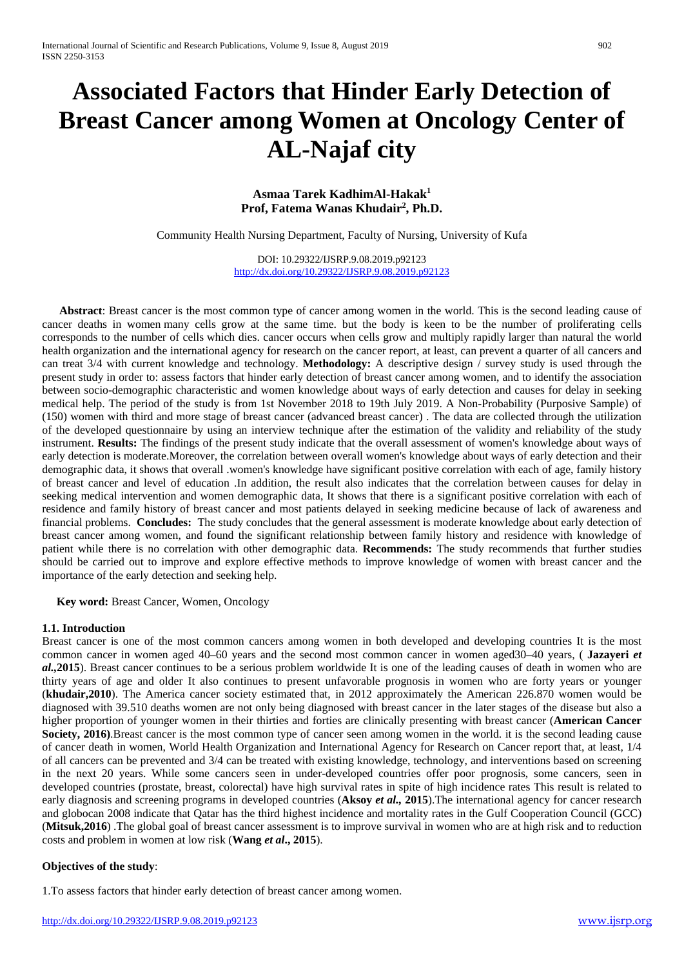# **Associated Factors that Hinder Early Detection of Breast Cancer among Women at Oncology Center of AL-Najaf city**

## **Asmaa Tarek KadhimAl-Hakak1 Prof, Fatema Wanas Khudair2 , Ph.D.**

Community Health Nursing Department, Faculty of Nursing, University of Kufa

DOI: 10.29322/IJSRP.9.08.2019.p92123 <http://dx.doi.org/10.29322/IJSRP.9.08.2019.p92123>

 **Abstract**: Breast cancer is the most common type of cancer among women in the world. This is the second leading cause of cancer deaths in women many cells grow at the same time. but the body is keen to be the number of proliferating cells corresponds to the number of cells which dies. cancer occurs when cells grow and multiply rapidly larger than natural the world health organization and the international agency for research on the cancer report, at least, can prevent a quarter of all cancers and can treat 3/4 with current knowledge and technology. **Methodology:** A descriptive design / survey study is used through the present study in order to: assess factors that hinder early detection of breast cancer among women, and to identify the association between socio-demographic characteristic and women knowledge about ways of early detection and causes for delay in seeking medical help. The period of the study is from 1st November 2018 to 19th July 2019. A Non-Probability (Purposive Sample) of (150) women with third and more stage of breast cancer (advanced breast cancer) . The data are collected through the utilization of the developed questionnaire by using an interview technique after the estimation of the validity and reliability of the study instrument. **Results:** The findings of the present study indicate that the overall assessment of women's knowledge about ways of early detection is moderate.Moreover, the correlation between overall women's knowledge about ways of early detection and their demographic data, it shows that overall .women's knowledge have significant positive correlation with each of age, family history of breast cancer and level of education .In addition, the result also indicates that the correlation between causes for delay in seeking medical intervention and women demographic data, It shows that there is a significant positive correlation with each of residence and family history of breast cancer and most patients delayed in seeking medicine because of lack of awareness and financial problems. **Concludes:** The study concludes that the general assessment is moderate knowledge about early detection of breast cancer among women, and found the significant relationship between family history and residence with knowledge of patient while there is no correlation with other demographic data. **Recommends:** The study recommends that further studies should be carried out to improve and explore effective methods to improve knowledge of women with breast cancer and the importance of the early detection and seeking help.

 **Key word:** Breast Cancer, Women, Oncology

### **1.1. Introduction**

Breast cancer is one of the most common cancers among women in both developed and developing countries It is the most common cancer in women aged 40–60 years and the second most common cancer in women aged30–40 years, ( **Jazayeri** *et al.,***2015**). Breast cancer continues to be a serious problem worldwide It is one of the leading causes of death in women who are thirty years of age and older It also continues to present unfavorable prognosis in women who are forty years or younger (**khudair,2010**). The America cancer society estimated that, in 2012 approximately the American 226.870 women would be diagnosed with 39.510 deaths women are not only being diagnosed with breast cancer in the later stages of the disease but also a higher proportion of younger women in their thirties and forties are clinically presenting with breast cancer (**American Cancer Society, 2016)**.Breast cancer is the most common type of cancer seen among women in the world. it is the second leading cause of cancer death in women, World Health Organization and International Agency for Research on Cancer report that, at least, 1/4 of all cancers can be prevented and 3/4 can be treated with existing knowledge, technology, and interventions based on screening in the next 20 years. While some cancers seen in under-developed countries offer poor prognosis, some cancers, seen in developed countries (prostate, breast, colorectal) have high survival rates in spite of high incidence rates This result is related to early diagnosis and screening programs in developed countries (**Aksoy** *et al.,* **2015**).The international agency for cancer research and globocan 2008 indicate that Qatar has the third highest incidence and mortality rates in the Gulf Cooperation Council (GCC) (**Mitsuk,2016**) .The global goal of breast cancer assessment is to improve survival in women who are at high risk and to reduction costs and problem in women at low risk (**Wang** *et al***., 2015**).

### **Objectives of the study**:

1.To assess factors that hinder early detection of breast cancer among women.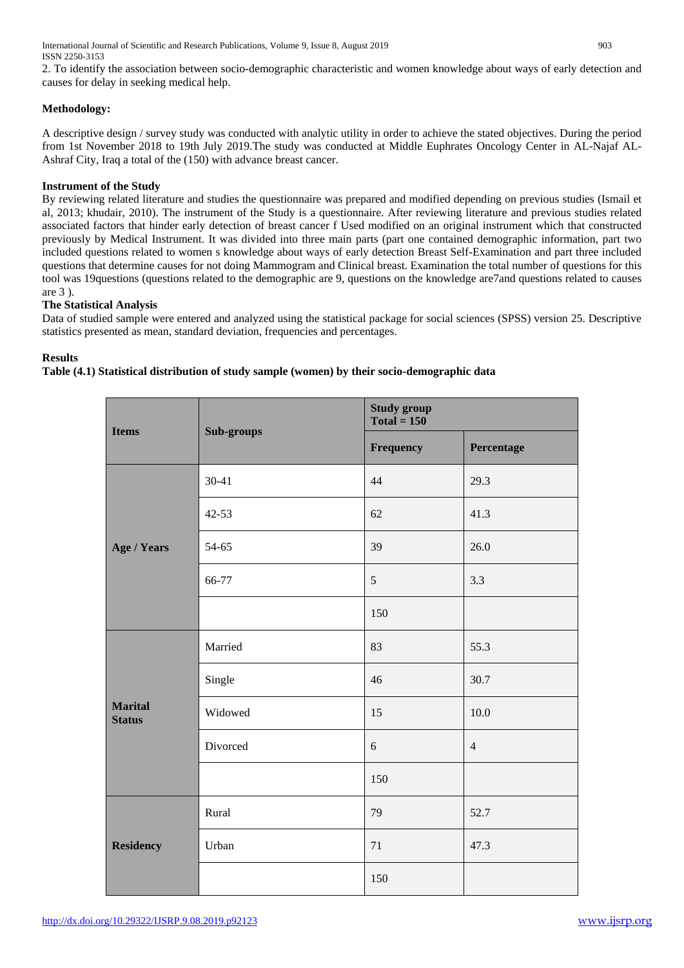2. To identify the association between socio-demographic characteristic and women knowledge about ways of early detection and causes for delay in seeking medical help.

## **Methodology:**

A descriptive design / survey study was conducted with analytic utility in order to achieve the stated objectives. During the period from 1st November 2018 to 19th July 2019.The study was conducted at Middle Euphrates Oncology Center in AL-Najaf AL-Ashraf City, Iraq a total of the (150) with advance breast cancer.

## **Instrument of the Study**

By reviewing related literature and studies the questionnaire was prepared and modified depending on previous studies (Ismail et al, 2013; khudair, 2010). The instrument of the Study is a questionnaire. After reviewing literature and previous studies related associated factors that hinder early detection of breast cancer f Used modified on an original instrument which that constructed previously by Medical Instrument. It was divided into three main parts (part one contained demographic information, part two included questions related to women s knowledge about ways of early detection Breast Self-Examination and part three included questions that determine causes for not doing Mammogram and Clinical breast. Examination the total number of questions for this tool was 19questions (questions related to the demographic are 9, questions on the knowledge are7and questions related to causes are 3 ).

## **The Statistical Analysis**

Data of studied sample were entered and analyzed using the statistical package for social sciences (SPSS) version 25. Descriptive statistics presented as mean, standard deviation, frequencies and percentages.

## **Results**

## **Table (4.1) Statistical distribution of study sample (women) by their socio-demographic data**

| <b>Items</b>                    | Sub-groups | <b>Study group</b><br>$Total = 150$ |                |
|---------------------------------|------------|-------------------------------------|----------------|
|                                 |            | Frequency                           | Percentage     |
| Age / Years                     | $30 - 41$  | 44                                  | 29.3           |
|                                 | 42-53      | 62                                  | 41.3           |
|                                 | 54-65      | 39                                  | 26.0           |
|                                 | 66-77      | $\sqrt{5}$                          | 3.3            |
|                                 |            | 150                                 |                |
| <b>Marital</b><br><b>Status</b> | Married    | 83                                  | 55.3           |
|                                 | Single     | 46                                  | 30.7           |
|                                 | Widowed    | 15                                  | 10.0           |
|                                 | Divorced   | 6                                   | $\overline{4}$ |
|                                 |            | 150                                 |                |
| <b>Residency</b>                | Rural      | 79                                  | 52.7           |
|                                 | Urban      | 71                                  | 47.3           |
|                                 |            | 150                                 |                |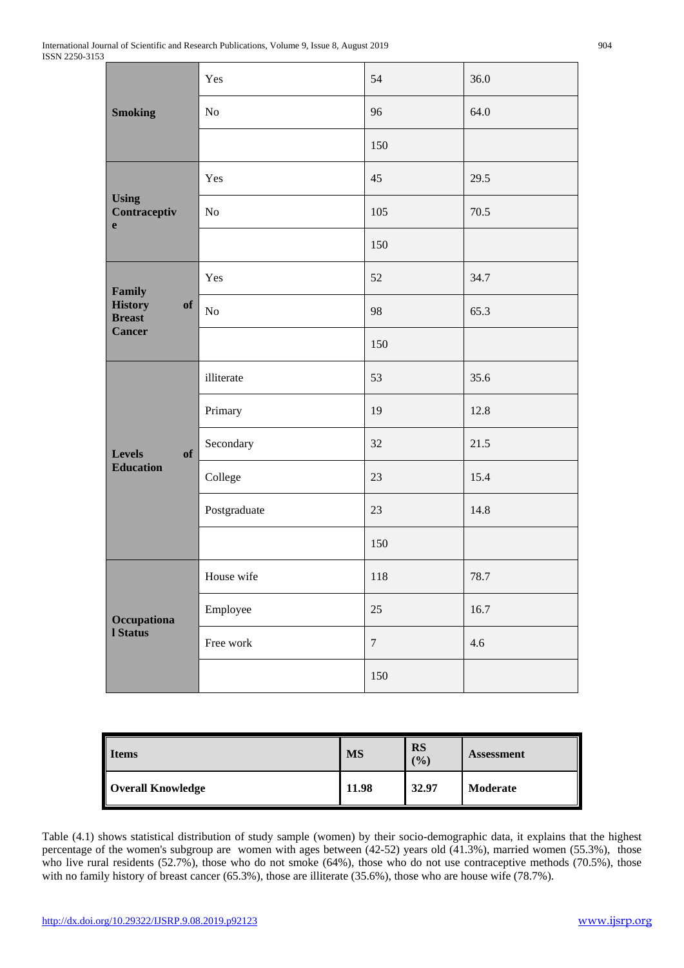| <b>Smoking</b>                                                   | Yes          | 54     | 36.0 |
|------------------------------------------------------------------|--------------|--------|------|
|                                                                  | No           | 96     | 64.0 |
|                                                                  |              | 150    |      |
|                                                                  | Yes          | 45     | 29.5 |
| <b>Using</b><br>Contraceptiv<br>$\mathbf{e}$                     | No           | 105    | 70.5 |
|                                                                  |              | 150    |      |
| Family<br><b>History</b><br>of<br><b>Breast</b><br><b>Cancer</b> | Yes          | 52     | 34.7 |
|                                                                  | $\rm No$     | 98     | 65.3 |
|                                                                  |              | 150    |      |
| <b>Levels</b><br>of<br><b>Education</b>                          | illiterate   | 53     | 35.6 |
|                                                                  | Primary      | 19     | 12.8 |
|                                                                  | Secondary    | 32     | 21.5 |
|                                                                  | College      | 23     | 15.4 |
|                                                                  | Postgraduate | 23     | 14.8 |
|                                                                  |              | 150    |      |
| Occupationa<br><b>I</b> Status                                   | House wife   | 118    | 78.7 |
|                                                                  | Employee     | 25     | 16.7 |
|                                                                  | Free work    | $\tau$ | 4.6  |
|                                                                  |              | 150    |      |

| <b>Items</b>             | <b>MS</b> | <b>RS</b><br>(%) | <b>Assessment</b> |
|--------------------------|-----------|------------------|-------------------|
| <b>Overall Knowledge</b> | 11.98     | 32.97            | Moderate          |

Table (4.1) shows statistical distribution of study sample (women) by their socio-demographic data, it explains that the highest percentage of the women's subgroup are women with ages between (42-52) years old (41.3%), married women (55.3%), those who live rural residents (52.7%), those who do not smoke (64%), those who do not use contraceptive methods (70.5%), those with no family history of breast cancer (65.3%), those are illiterate (35.6%), those who are house wife (78.7%).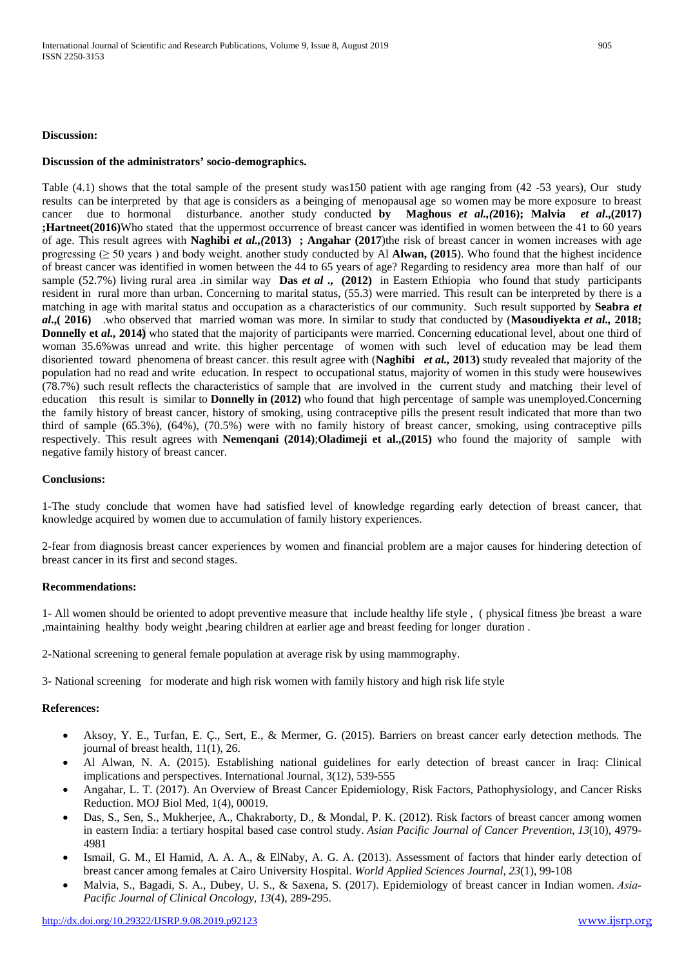#### **Discussion of the administrators' socio-demographics.**

Table (4.1) shows that the total sample of the present study was150 patient with age ranging from (42 -53 years), Our study results can be interpreted by that age is considers as a beinging of menopausal age so women may be more exposure to breast cancer due to hormonal disturbance. another study conducted **by Maghous** *et al.,(***2016); Malvia** *et al***.,(2017) ;Hartneet(2016)**Who stated that the uppermost occurrence of breast cancer was identified in women between the 41 to 60 years of age. This result agrees with **Naghibi** *et al.,(***2013) ; Angahar (2017**)the risk of breast cancer in women increases with age progressing ( $\geq$  50 years) and body weight. another study conducted by Al **Alwan, (2015**). Who found that the highest incidence of breast cancer was identified in women between the 44 to 65 years of age? Regarding to residency area more than half of our sample (52.7%) living rural area .in similar way **Das** *et al* **., (2012)** in Eastern Ethiopia who found that study participants resident in rural more than urban. Concerning to marital status, (55.3) were married. This result can be interpreted by there is a matching in age with marital status and occupation as a characteristics of our community. Such result supported by **Seabra** *et al***.,( 2016)** .who observed that married woman was more. In similar to study that conducted by (**Masoudiyekta** *et al.,* **2018; Donnelly et** *al.***, 2014**) who stated that the majority of participants were married. Concerning educational level, about one third of woman 35.6%was unread and write. this higher percentage of women with such level of education may be lead them disoriented toward phenomena of breast cancer. this result agree with (**Naghibi** *et al.,* **2013)** study revealed that majority of the population had no read and write education. In respect to occupational status, majority of women in this study were housewives (78.7%) such result reflects the characteristics of sample that are involved in the current study and matching their level of education this result is similar to **Donnelly in (2012)** who found that high percentage of sample was unemployed.Concerning the family history of breast cancer, history of smoking, using contraceptive pills the present result indicated that more than two third of sample (65.3%), (64%), (70.5%) were with no family history of breast cancer, smoking, using contraceptive pills respectively. This result agrees with **Nemenqani (2014)**;**Oladimeji et al.,(2015)** who found the majority of sample with negative family history of breast cancer.

#### **Conclusions:**

1-The study conclude that women have had satisfied level of knowledge regarding early detection of breast cancer, that knowledge acquired by women due to accumulation of family history experiences.

2-fear from diagnosis breast cancer experiences by women and financial problem are a major causes for hindering detection of breast cancer in its first and second stages.

#### **Recommendations:**

1- All women should be oriented to adopt preventive measure that include healthy life style , ( physical fitness )be breast a ware ,maintaining healthy body weight ,bearing children at earlier age and breast feeding for longer duration .

2-National screening to general female population at average risk by using mammography.

3- National screening for moderate and high risk women with family history and high risk life style

#### **References:**

- Aksoy, Y. E., Turfan, E. Ç., Sert, E., & Mermer, G. (2015). Barriers on breast cancer early detection methods. The journal of breast health, 11(1), 26.
- Al Alwan, N. A. (2015). Establishing national guidelines for early detection of breast cancer in Iraq: Clinical implications and perspectives. International Journal, 3(12), 539-555
- Angahar, L. T. (2017). An Overview of Breast Cancer Epidemiology, Risk Factors, Pathophysiology, and Cancer Risks Reduction. MOJ Biol Med, 1(4), 00019.
- Das, S., Sen, S., Mukherjee, A., Chakraborty, D., & Mondal, P. K. (2012). Risk factors of breast cancer among women in eastern India: a tertiary hospital based case control study. *Asian Pacific Journal of Cancer Prevention*, *13*(10), 4979- 4981
- Ismail, G. M., El Hamid, A. A. A., & ElNaby, A. G. A. (2013). Assessment of factors that hinder early detection of breast cancer among females at Cairo University Hospital. *World Applied Sciences Journal*, *23*(1), 99-108
- Malvia, S., Bagadi, S. A., Dubey, U. S., & Saxena, S. (2017). Epidemiology of breast cancer in Indian women. *Asia‐ Pacific Journal of Clinical Oncology*, *13*(4), 289-295.